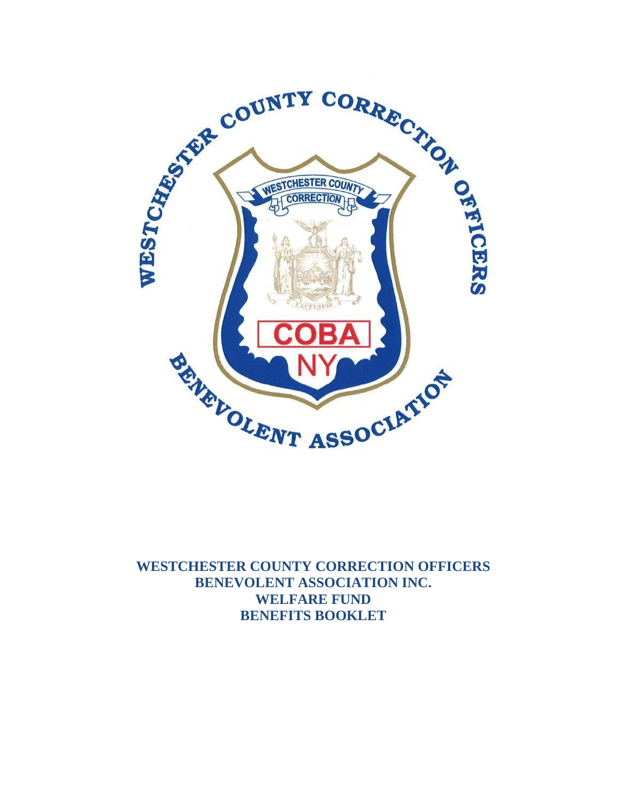

**WESTCHESTER COUNTY CORRECTION OFFICERS BENEVOLENT ASSOCIATION INC. WELFARE FUND BENEFITS BOOKLET**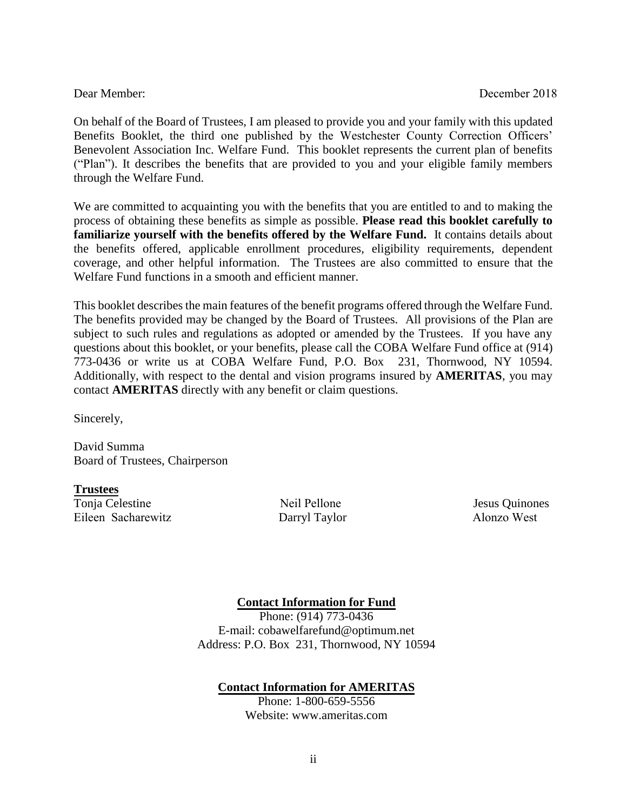On behalf of the Board of Trustees, I am pleased to provide you and your family with this updated Benefits Booklet, the third one published by the Westchester County Correction Officers' Benevolent Association Inc. Welfare Fund. This booklet represents the current plan of benefits ("Plan"). It describes the benefits that are provided to you and your eligible family members through the Welfare Fund.

We are committed to acquainting you with the benefits that you are entitled to and to making the process of obtaining these benefits as simple as possible. **Please read this booklet carefully to familiarize yourself with the benefits offered by the Welfare Fund.** It contains details about the benefits offered, applicable enrollment procedures, eligibility requirements, dependent coverage, and other helpful information. The Trustees are also committed to ensure that the Welfare Fund functions in a smooth and efficient manner.

This booklet describes the main features of the benefit programs offered through the Welfare Fund. The benefits provided may be changed by the Board of Trustees. All provisions of the Plan are subject to such rules and regulations as adopted or amended by the Trustees. If you have any questions about this booklet, or your benefits, please call the COBA Welfare Fund office at (914) 773-0436 or write us at COBA Welfare Fund, P.O. Box 231, Thornwood, NY 10594. Additionally, with respect to the dental and vision programs insured by **AMERITAS**, you may contact **AMERITAS** directly with any benefit or claim questions.

Sincerely,

David Summa Board of Trustees, Chairperson

**Trustees** Tonja Celestine Neil Pellone Jesus Quinones Eileen Sacharewitz Darryl Taylor Alonzo West

#### **Contact Information for Fund**

Phone: (914) 773-0436 E-mail: cobawelfarefund@optimum.net Address: P.O. Box 231, Thornwood, NY 10594

#### **Contact Information for AMERITAS**

Phone: 1-800-659-5556 Website: www.ameritas.com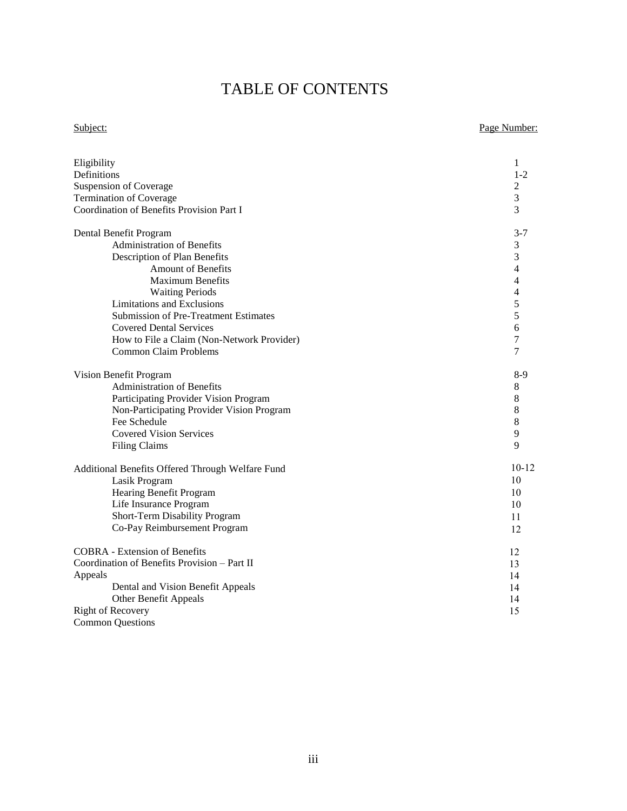# TABLE OF CONTENTS

#### Subject: Page Number:

| Eligibility                                                                                                                                                                                                          | 1                                |
|----------------------------------------------------------------------------------------------------------------------------------------------------------------------------------------------------------------------|----------------------------------|
| Definitions                                                                                                                                                                                                          | $1 - 2$                          |
| <b>Suspension of Coverage</b>                                                                                                                                                                                        | 2                                |
| <b>Termination of Coverage</b>                                                                                                                                                                                       | 3                                |
| Coordination of Benefits Provision Part I                                                                                                                                                                            | 3                                |
| Dental Benefit Program                                                                                                                                                                                               | $3 - 7$                          |
| <b>Administration of Benefits</b>                                                                                                                                                                                    | 3                                |
| Description of Plan Benefits                                                                                                                                                                                         | 3                                |
| <b>Amount of Benefits</b>                                                                                                                                                                                            | $\overline{4}$                   |
| <b>Maximum Benefits</b>                                                                                                                                                                                              | $\overline{4}$                   |
| <b>Waiting Periods</b>                                                                                                                                                                                               | $\overline{4}$                   |
| <b>Limitations and Exclusions</b>                                                                                                                                                                                    | 5                                |
| <b>Submission of Pre-Treatment Estimates</b>                                                                                                                                                                         | 5                                |
| <b>Covered Dental Services</b>                                                                                                                                                                                       | 6                                |
| How to File a Claim (Non-Network Provider)                                                                                                                                                                           | 7                                |
| <b>Common Claim Problems</b>                                                                                                                                                                                         | 7                                |
| Vision Benefit Program                                                                                                                                                                                               | $8-9$                            |
| Administration of Benefits                                                                                                                                                                                           | 8                                |
| Participating Provider Vision Program                                                                                                                                                                                | 8                                |
| Non-Participating Provider Vision Program                                                                                                                                                                            | 8                                |
| Fee Schedule                                                                                                                                                                                                         | 8                                |
| <b>Covered Vision Services</b>                                                                                                                                                                                       | 9                                |
| <b>Filing Claims</b>                                                                                                                                                                                                 | 9                                |
| Additional Benefits Offered Through Welfare Fund                                                                                                                                                                     | $10 - 12$                        |
| Lasik Program                                                                                                                                                                                                        | 10                               |
| Hearing Benefit Program                                                                                                                                                                                              | 10                               |
| Life Insurance Program                                                                                                                                                                                               | 10                               |
| Short-Term Disability Program                                                                                                                                                                                        | 11                               |
| Co-Pay Reimbursement Program                                                                                                                                                                                         | 12                               |
| <b>COBRA</b> - Extension of Benefits<br>Coordination of Benefits Provision - Part II<br>Appeals<br>Dental and Vision Benefit Appeals<br>Other Benefit Appeals<br><b>Right of Recovery</b><br><b>Common Questions</b> | 12<br>13<br>14<br>14<br>14<br>15 |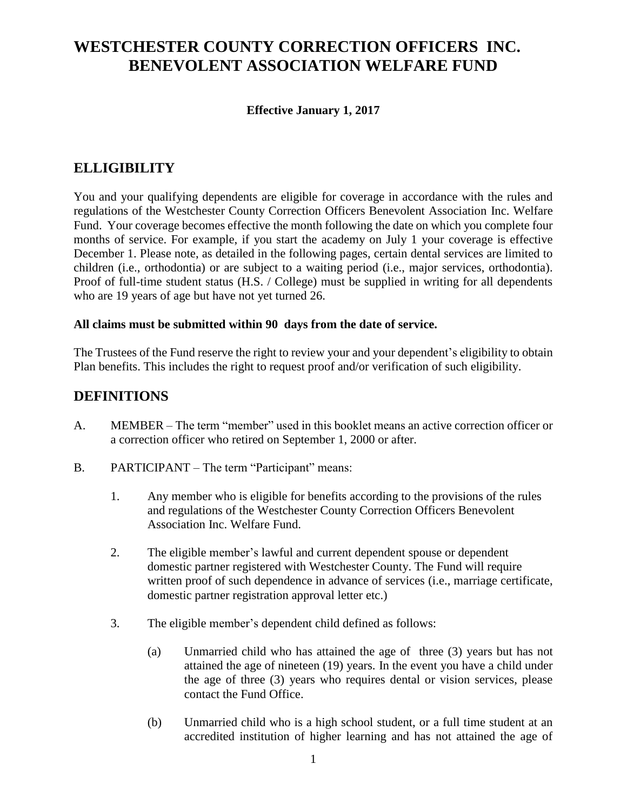# **WESTCHESTER COUNTY CORRECTION OFFICERS INC. BENEVOLENT ASSOCIATION WELFARE FUND**

#### **Effective January 1, 2017**

## **ELLIGIBILITY**

You and your qualifying dependents are eligible for coverage in accordance with the rules and regulations of the Westchester County Correction Officers Benevolent Association Inc. Welfare Fund. Your coverage becomes effective the month following the date on which you complete four months of service. For example, if you start the academy on July 1 your coverage is effective December 1. Please note, as detailed in the following pages, certain dental services are limited to children (i.e., orthodontia) or are subject to a waiting period (i.e., major services, orthodontia). Proof of full-time student status (H.S. / College) must be supplied in writing for all dependents who are 19 years of age but have not yet turned 26.

#### **All claims must be submitted within 90 days from the date of service.**

The Trustees of the Fund reserve the right to review your and your dependent's eligibility to obtain Plan benefits. This includes the right to request proof and/or verification of such eligibility.

#### **DEFINITIONS**

- A. MEMBER The term "member" used in this booklet means an active correction officer or a correction officer who retired on September 1, 2000 or after.
- B. PARTICIPANT The term "Participant" means:
	- 1. Any member who is eligible for benefits according to the provisions of the rules and regulations of the Westchester County Correction Officers Benevolent Association Inc. Welfare Fund.
	- 2. The eligible member's lawful and current dependent spouse or dependent domestic partner registered with Westchester County. The Fund will require written proof of such dependence in advance of services (i.e., marriage certificate, domestic partner registration approval letter etc.)
	- 3. The eligible member's dependent child defined as follows:
		- (a) Unmarried child who has attained the age of three (3) years but has not attained the age of nineteen (19) years. In the event you have a child under the age of three (3) years who requires dental or vision services, please contact the Fund Office.
		- (b) Unmarried child who is a high school student, or a full time student at an accredited institution of higher learning and has not attained the age of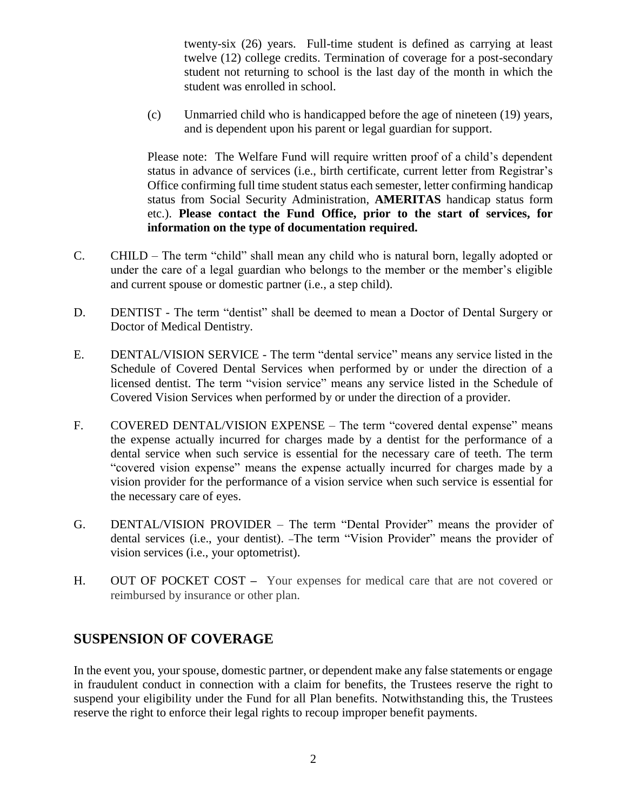twenty-six (26) years. Full-time student is defined as carrying at least twelve (12) college credits. Termination of coverage for a post-secondary student not returning to school is the last day of the month in which the student was enrolled in school.

(c) Unmarried child who is handicapped before the age of nineteen (19) years, and is dependent upon his parent or legal guardian for support.

Please note: The Welfare Fund will require written proof of a child's dependent status in advance of services (i.e., birth certificate, current letter from Registrar's Office confirming full time student status each semester, letter confirming handicap status from Social Security Administration, **AMERITAS** handicap status form etc.). **Please contact the Fund Office, prior to the start of services, for information on the type of documentation required.**

- C. CHILD The term "child" shall mean any child who is natural born, legally adopted or under the care of a legal guardian who belongs to the member or the member's eligible and current spouse or domestic partner (i.e., a step child).
- D. DENTIST The term "dentist" shall be deemed to mean a Doctor of Dental Surgery or Doctor of Medical Dentistry.
- E. DENTAL/VISION SERVICE The term "dental service" means any service listed in the Schedule of Covered Dental Services when performed by or under the direction of a licensed dentist. The term "vision service" means any service listed in the Schedule of Covered Vision Services when performed by or under the direction of a provider.
- F. COVERED DENTAL/VISION EXPENSE The term "covered dental expense" means the expense actually incurred for charges made by a dentist for the performance of a dental service when such service is essential for the necessary care of teeth. The term "covered vision expense" means the expense actually incurred for charges made by a vision provider for the performance of a vision service when such service is essential for the necessary care of eyes.
- G. DENTAL/VISION PROVIDER The term "Dental Provider" means the provider of dental services (i.e., your dentist). -The term "Vision Provider" means the provider of vision services (i.e., your optometrist).
- H. OUT OF POCKET COST **–** Your expenses for medical care that are not covered or reimbursed by insurance or other plan.

#### **SUSPENSION OF COVERAGE**

In the event you, your spouse, domestic partner, or dependent make any false statements or engage in fraudulent conduct in connection with a claim for benefits, the Trustees reserve the right to suspend your eligibility under the Fund for all Plan benefits. Notwithstanding this, the Trustees reserve the right to enforce their legal rights to recoup improper benefit payments.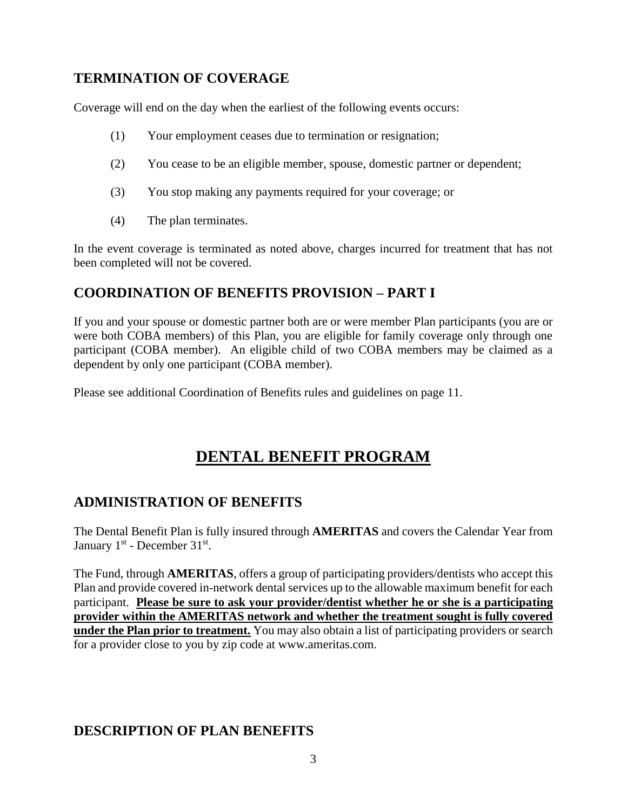## **TERMINATION OF COVERAGE**

Coverage will end on the day when the earliest of the following events occurs:

- (1) Your employment ceases due to termination or resignation;
- (2) You cease to be an eligible member, spouse, domestic partner or dependent;
- (3) You stop making any payments required for your coverage; or
- (4) The plan terminates.

In the event coverage is terminated as noted above, charges incurred for treatment that has not been completed will not be covered.

#### **COORDINATION OF BENEFITS PROVISION – PART I**

If you and your spouse or domestic partner both are or were member Plan participants (you are or were both COBA members) of this Plan, you are eligible for family coverage only through one participant (COBA member). An eligible child of two COBA members may be claimed as a dependent by only one participant (COBA member).

Please see additional Coordination of Benefits rules and guidelines on page 11.

# **DENTAL BENEFIT PROGRAM**

#### **ADMINISTRATION OF BENEFITS**

The Dental Benefit Plan is fully insured through **AMERITAS** and covers the Calendar Year from January  $1<sup>st</sup>$  - December  $31<sup>st</sup>$ .

The Fund, through **AMERITAS**, offers a group of participating providers/dentists who accept this Plan and provide covered in-network dental services up to the allowable maximum benefit for each participant. **Please be sure to ask your provider/dentist whether he or she is a participating provider within the AMERITAS network and whether the treatment sought is fully covered under the Plan prior to treatment.** You may also obtain a list of participating providers or search for a provider close to you by zip code at www.ameritas.com.

## **DESCRIPTION OF PLAN BENEFITS**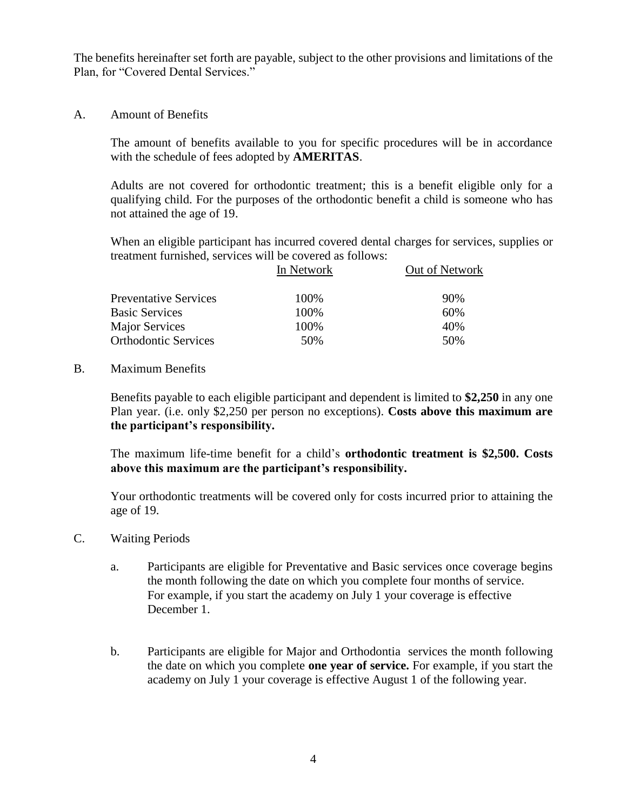The benefits hereinafter set forth are payable, subject to the other provisions and limitations of the Plan, for "Covered Dental Services."

A. Amount of Benefits

The amount of benefits available to you for specific procedures will be in accordance with the schedule of fees adopted by **AMERITAS**.

Adults are not covered for orthodontic treatment; this is a benefit eligible only for a qualifying child. For the purposes of the orthodontic benefit a child is someone who has not attained the age of 19.

When an eligible participant has incurred covered dental charges for services, supplies or treatment furnished, services will be covered as follows:

| In Network | Out of Network |
|------------|----------------|
| 100%       | 90%            |
| 100%       | 60%            |
| 100%       | 40%            |
| 50%        | 50%            |
|            |                |

#### B. Maximum Benefits

Benefits payable to each eligible participant and dependent is limited to **\$2,250** in any one Plan year. (i.e. only \$2,250 per person no exceptions). **Costs above this maximum are the participant's responsibility.**

The maximum life-time benefit for a child's **orthodontic treatment is \$2,500. Costs above this maximum are the participant's responsibility.**

Your orthodontic treatments will be covered only for costs incurred prior to attaining the age of 19.

- C. Waiting Periods
	- a. Participants are eligible for Preventative and Basic services once coverage begins the month following the date on which you complete four months of service. For example, if you start the academy on July 1 your coverage is effective December 1.
	- b. Participants are eligible for Major and Orthodontia services the month following the date on which you complete **one year of service.** For example, if you start the academy on July 1 your coverage is effective August 1 of the following year.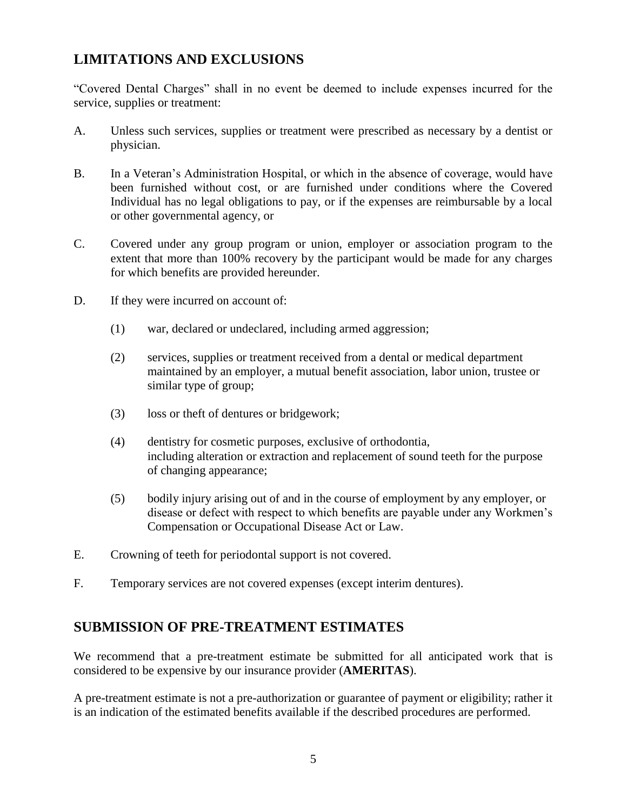## **LIMITATIONS AND EXCLUSIONS**

"Covered Dental Charges" shall in no event be deemed to include expenses incurred for the service, supplies or treatment:

- A. Unless such services, supplies or treatment were prescribed as necessary by a dentist or physician.
- B. In a Veteran's Administration Hospital, or which in the absence of coverage, would have been furnished without cost, or are furnished under conditions where the Covered Individual has no legal obligations to pay, or if the expenses are reimbursable by a local or other governmental agency, or
- C. Covered under any group program or union, employer or association program to the extent that more than 100% recovery by the participant would be made for any charges for which benefits are provided hereunder.
- D. If they were incurred on account of:
	- (1) war, declared or undeclared, including armed aggression;
	- (2) services, supplies or treatment received from a dental or medical department maintained by an employer, a mutual benefit association, labor union, trustee or similar type of group;
	- (3) loss or theft of dentures or bridgework;
	- (4) dentistry for cosmetic purposes, exclusive of orthodontia, including alteration or extraction and replacement of sound teeth for the purpose of changing appearance;
	- (5) bodily injury arising out of and in the course of employment by any employer, or disease or defect with respect to which benefits are payable under any Workmen's Compensation or Occupational Disease Act or Law.
- E. Crowning of teeth for periodontal support is not covered.
- F. Temporary services are not covered expenses (except interim dentures).

#### **SUBMISSION OF PRE-TREATMENT ESTIMATES**

We recommend that a pre-treatment estimate be submitted for all anticipated work that is considered to be expensive by our insurance provider (**AMERITAS**).

A pre-treatment estimate is not a pre-authorization or guarantee of payment or eligibility; rather it is an indication of the estimated benefits available if the described procedures are performed.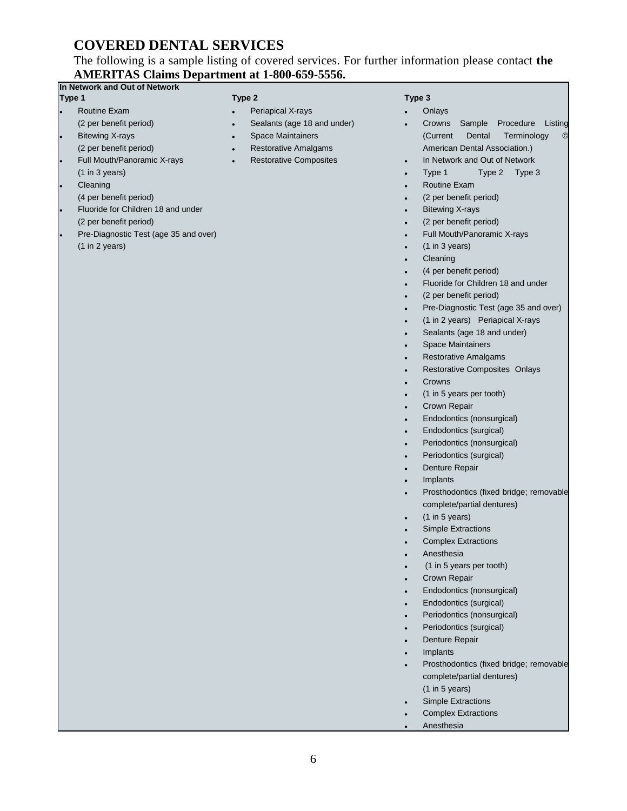## **COVERED DENTAL SERVICES**

#### The following is a sample listing of covered services. For further information please contact **the AMERITAS Claims Department at 1-800-659-5556.**

| In Network and Out of Network            |                                            |                                                                 |
|------------------------------------------|--------------------------------------------|-----------------------------------------------------------------|
| Type 1                                   | Type 2                                     | Type 3                                                          |
| <b>Routine Exam</b><br>$\bullet$         | Periapical X-rays                          | Onlays                                                          |
| (2 per benefit period)                   | Sealants (age 18 and under)<br>$\bullet$   | Crowns Sample<br>Procedure<br>Listing                           |
| <b>Bitewing X-rays</b><br>$\bullet$      | Space Maintainers<br>$\bullet$             | (Current<br>Dental<br>Terminology                               |
| (2 per benefit period)                   | Restorative Amalgams<br>$\bullet$          | American Dental Association.)                                   |
| Full Mouth/Panoramic X-rays<br>$\bullet$ | <b>Restorative Composites</b><br>$\bullet$ | In Network and Out of Network                                   |
| (1 in 3 years)                           |                                            | Type 2 Type 3<br>Type 1                                         |
| Cleaning                                 |                                            | Routine Exam                                                    |
| (4 per benefit period)                   |                                            | (2 per benefit period)                                          |
| Fluoride for Children 18 and under       |                                            | <b>Bitewing X-rays</b>                                          |
| (2 per benefit period)                   |                                            | (2 per benefit period)                                          |
| Pre-Diagnostic Test (age 35 and over)    |                                            | Full Mouth/Panoramic X-rays                                     |
| (1 in 2 years)                           |                                            | (1 in 3 years)                                                  |
|                                          |                                            | Cleaning                                                        |
|                                          |                                            | (4 per benefit period)                                          |
|                                          |                                            | Fluoride for Children 18 and under                              |
|                                          |                                            | (2 per benefit period)<br>Pre-Diagnostic Test (age 35 and over) |
|                                          |                                            | (1 in 2 years) Periapical X-rays                                |
|                                          |                                            | Sealants (age 18 and under)                                     |
|                                          |                                            | Space Maintainers                                               |
|                                          |                                            | <b>Restorative Amalgams</b>                                     |
|                                          |                                            | Restorative Composites Onlays                                   |
|                                          |                                            | Crowns                                                          |
|                                          |                                            | (1 in 5 years per tooth)                                        |
|                                          |                                            | Crown Repair                                                    |
|                                          |                                            | Endodontics (nonsurgical)                                       |
|                                          |                                            | Endodontics (surgical)                                          |
|                                          |                                            | Periodontics (nonsurgical)                                      |
|                                          |                                            | Periodontics (surgical)                                         |
|                                          |                                            | Denture Repair                                                  |
|                                          |                                            | Implants                                                        |
|                                          |                                            | Prosthodontics (fixed bridge; removable                         |
|                                          |                                            | complete/partial dentures)                                      |
|                                          |                                            | $(1$ in 5 years)                                                |
|                                          |                                            | <b>Simple Extractions</b>                                       |
|                                          |                                            | <b>Complex Extractions</b>                                      |
|                                          |                                            | Anesthesia                                                      |
|                                          |                                            | (1 in 5 years per tooth)                                        |
|                                          |                                            | Crown Repair                                                    |
|                                          |                                            | Endodontics (nonsurgical)                                       |
|                                          |                                            | Endodontics (surgical)                                          |
|                                          |                                            | Periodontics (nonsurgical)                                      |
|                                          |                                            | Periodontics (surgical)                                         |
|                                          |                                            | Denture Repair                                                  |
|                                          |                                            | Implants                                                        |
|                                          |                                            | Prosthodontics (fixed bridge; removable                         |
|                                          |                                            | complete/partial dentures)                                      |
|                                          |                                            | (1 in 5 years)                                                  |
|                                          |                                            | <b>Simple Extractions</b>                                       |
|                                          |                                            | <b>Complex Extractions</b>                                      |
|                                          |                                            | Anesthesia                                                      |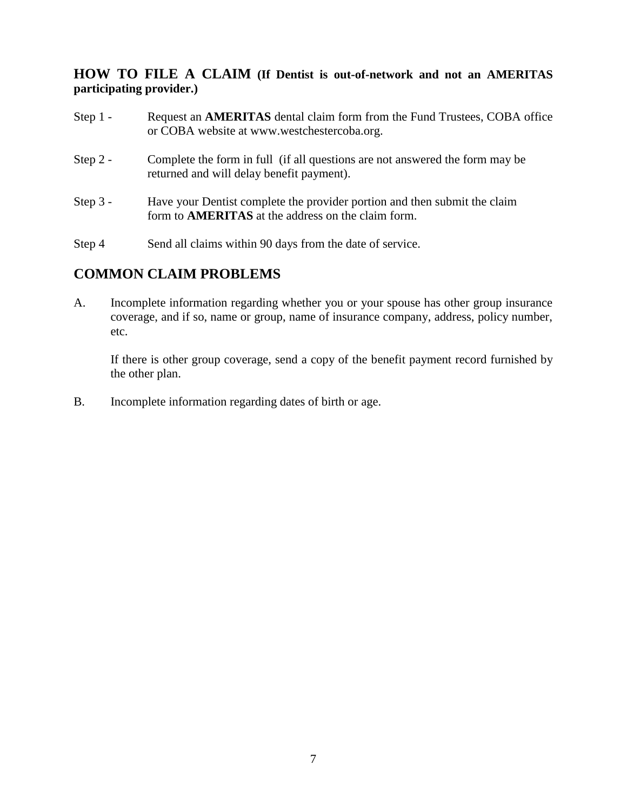#### **HOW TO FILE A CLAIM (If Dentist is out-of-network and not an AMERITAS participating provider.)**

- Step 1 Request an **AMERITAS** dental claim form from the Fund Trustees, COBA office or COBA website at www.westchestercoba.org.
- Step 2 Complete the form in full (if all questions are not answered the form may be returned and will delay benefit payment).
- Step 3 Have your Dentist complete the provider portion and then submit the claim form to **AMERITAS** at the address on the claim form.
- Step 4 Send all claims within 90 days from the date of service.

#### **COMMON CLAIM PROBLEMS**

A. Incomplete information regarding whether you or your spouse has other group insurance coverage, and if so, name or group, name of insurance company, address, policy number, etc.

If there is other group coverage, send a copy of the benefit payment record furnished by the other plan.

B. Incomplete information regarding dates of birth or age.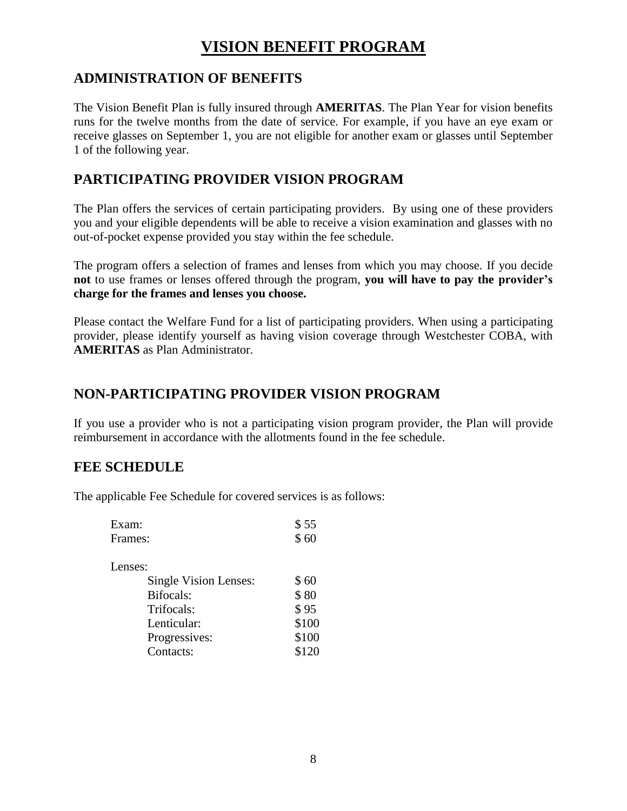# **VISION BENEFIT PROGRAM**

## **ADMINISTRATION OF BENEFITS**

The Vision Benefit Plan is fully insured through **AMERITAS**. The Plan Year for vision benefits runs for the twelve months from the date of service. For example, if you have an eye exam or receive glasses on September 1, you are not eligible for another exam or glasses until September 1 of the following year.

## **PARTICIPATING PROVIDER VISION PROGRAM**

The Plan offers the services of certain participating providers. By using one of these providers you and your eligible dependents will be able to receive a vision examination and glasses with no out-of-pocket expense provided you stay within the fee schedule.

The program offers a selection of frames and lenses from which you may choose. If you decide **not** to use frames or lenses offered through the program, **you will have to pay the provider's charge for the frames and lenses you choose.** 

Please contact the Welfare Fund for a list of participating providers. When using a participating provider, please identify yourself as having vision coverage through Westchester COBA, with **AMERITAS** as Plan Administrator.

## **NON-PARTICIPATING PROVIDER VISION PROGRAM**

If you use a provider who is not a participating vision program provider, the Plan will provide reimbursement in accordance with the allotments found in the fee schedule.

#### **FEE SCHEDULE**

The applicable Fee Schedule for covered services is as follows:

| Exam:                 | \$55  |
|-----------------------|-------|
| Frames:               | \$60  |
| Lenses:               |       |
| Single Vision Lenses: | \$60  |
| Bifocals:             | \$80  |
| Trifocals:            | \$95  |
| Lenticular:           | \$100 |
| Progressives:         | \$100 |
| Contacts:             | \$120 |
|                       |       |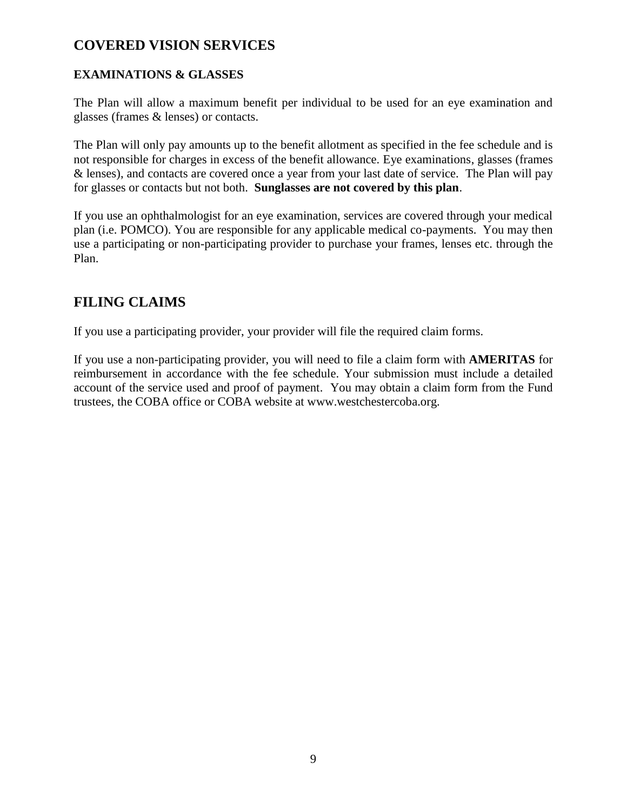### **COVERED VISION SERVICES**

#### **EXAMINATIONS & GLASSES**

The Plan will allow a maximum benefit per individual to be used for an eye examination and glasses (frames & lenses) or contacts.

The Plan will only pay amounts up to the benefit allotment as specified in the fee schedule and is not responsible for charges in excess of the benefit allowance. Eye examinations, glasses (frames & lenses), and contacts are covered once a year from your last date of service. The Plan will pay for glasses or contacts but not both. **Sunglasses are not covered by this plan**.

If you use an ophthalmologist for an eye examination, services are covered through your medical plan (i.e. POMCO). You are responsible for any applicable medical co-payments. You may then use a participating or non-participating provider to purchase your frames, lenses etc. through the Plan.

## **FILING CLAIMS**

If you use a participating provider, your provider will file the required claim forms.

If you use a non-participating provider, you will need to file a claim form with **AMERITAS** for reimbursement in accordance with the fee schedule. Your submission must include a detailed account of the service used and proof of payment. You may obtain a claim form from the Fund trustees, the COBA office or COBA website at www.westchestercoba.org.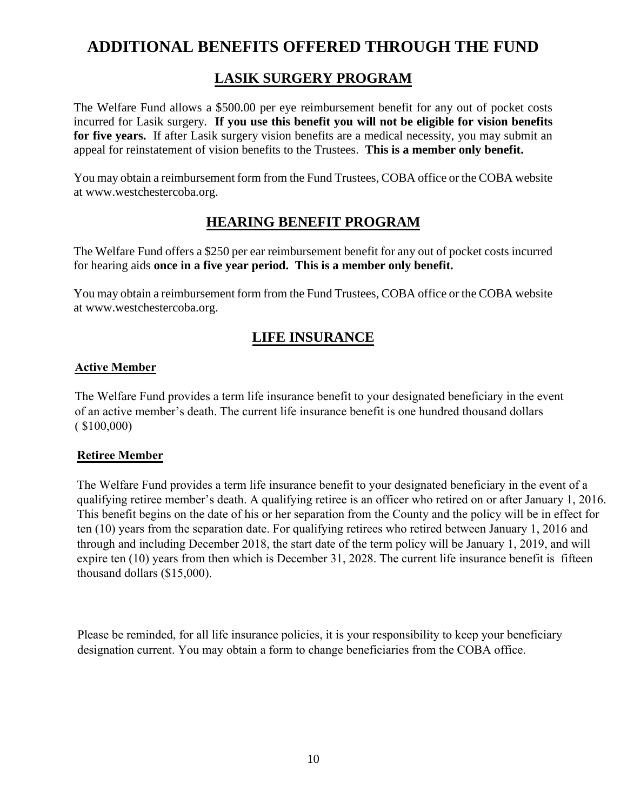# **ADDITIONAL BENEFITS OFFERED THROUGH THE FUND**

## **LASIK SURGERY PROGRAM**

The Welfare Fund allows a \$500.00 per eye reimbursement benefit for any out of pocket costs incurred for Lasik surgery. **If you use this benefit you will not be eligible for vision benefits**  for five years. If after Lasik surgery vision benefits are a medical necessity, you may submit an appeal for reinstatement of vision benefits to the Trustees. **This is a member only benefit.**

You may obtain a reimbursement form from the Fund Trustees, COBA office or the COBA website at www.westchestercoba.org.

## **HEARING BENEFIT PROGRAM**

The Welfare Fund offers a \$250 per ear reimbursement benefit for any out of pocket costs incurred for hearing aids **once in a five year period. This is a member only benefit.** 

You may obtain a reimbursement form from the Fund Trustees, COBA office or the COBA website at www.westchestercoba.org.

#### **LIFE INSURANCE**

#### **Active Member**

The Welfare Fund provides a term life insurance benefit to your designated beneficiary in the event of an active member's death. The current life insurance benefit is one hundred thousand dollars  $($ \$100,000)

#### **Retiree Member**

The Welfare Fund provides a term life insurance benefit to your designated beneficiary in the event of a qualifying retiree member's death. A qualifying retiree is an officer who retired on or after January 1, 2016. This benefit begins on the date of his or her separation from the County and the policy will be in effect for ten (10) years from the separation date. For qualifying retirees who retired between January 1, 2016 and through and including December 2018, the start date of the term policy will be January 1, 2019, and will expire ten (10) years from then which is December 31, 2028. The current life insurance benefit is fifteen thousand dollars (\$15,000).

Please be reminded, for all life insurance policies, it is your responsibility to keep your beneficiary designation current. You may obtain a form to change beneficiaries from the COBA office.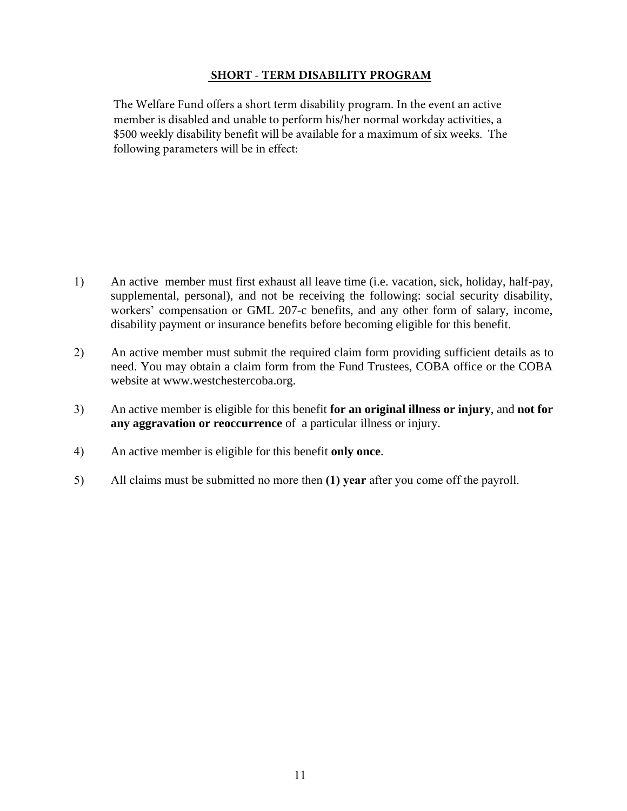#### **SHORT - TERM DISABILITY PROGRAM**

The Welfare Fund offers a short term disability program. In the event an active member is disabled and unable to perform his/her normal workday activities, a \$500 weekly disability benefit will be available for a maximum of six weeks. The following parameters will be in effect:

- 1) An active member must first exhaust all leave time (i.e. vacation, sick, holiday, half-pay, supplemental, personal), and not be receiving the following: social security disability, workers' compensation or GML 207-c benefits, and any other form of salary, income, disability payment or insurance benefits before becoming eligible for this benefit.
- 2) An active member must submit the required claim form providing sufficient details as to need. You may obtain a claim form from the Fund Trustees, COBA office or the COBA website at www.westchestercoba.org.
- 3) An active member is eligible for this benefit **for an original illness or injury**, and **not for any aggravation or reoccurrence** of a particular illness or injury.
- 4) An active member is eligible for this benefit **only once**.
- 5) All claims must be submitted no more then **(1) year** after you come off the payroll.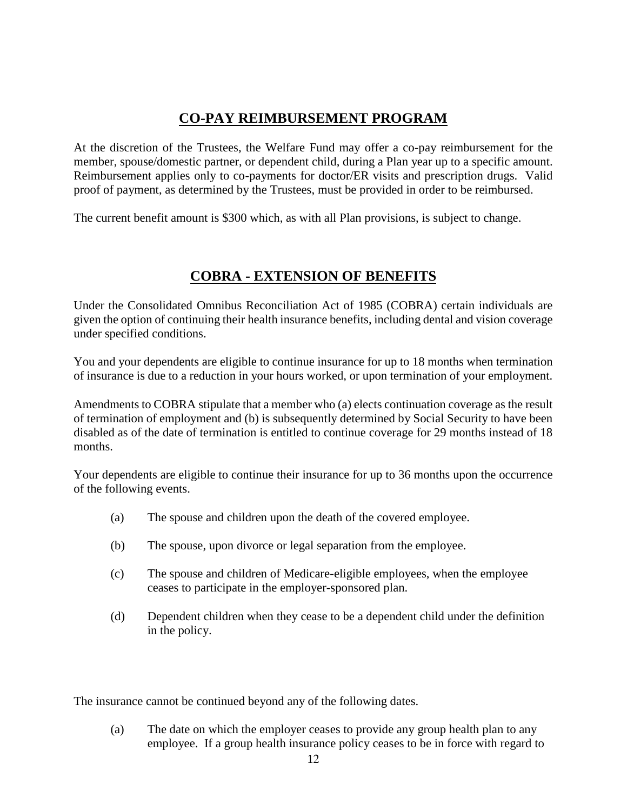## **CO-PAY REIMBURSEMENT PROGRAM**

At the discretion of the Trustees, the Welfare Fund may offer a co-pay reimbursement for the member, spouse/domestic partner, or dependent child, during a Plan year up to a specific amount. Reimbursement applies only to co-payments for doctor/ER visits and prescription drugs. Valid proof of payment, as determined by the Trustees, must be provided in order to be reimbursed.

The current benefit amount is \$300 which, as with all Plan provisions, is subject to change.

#### **COBRA - EXTENSION OF BENEFITS**

Under the Consolidated Omnibus Reconciliation Act of 1985 (COBRA) certain individuals are given the option of continuing their health insurance benefits, including dental and vision coverage under specified conditions.

You and your dependents are eligible to continue insurance for up to 18 months when termination of insurance is due to a reduction in your hours worked, or upon termination of your employment.

Amendments to COBRA stipulate that a member who (a) elects continuation coverage as the result of termination of employment and (b) is subsequently determined by Social Security to have been disabled as of the date of termination is entitled to continue coverage for 29 months instead of 18 months.

Your dependents are eligible to continue their insurance for up to 36 months upon the occurrence of the following events.

- (a) The spouse and children upon the death of the covered employee.
- (b) The spouse, upon divorce or legal separation from the employee.
- (c) The spouse and children of Medicare-eligible employees, when the employee ceases to participate in the employer-sponsored plan.
- (d) Dependent children when they cease to be a dependent child under the definition in the policy.

The insurance cannot be continued beyond any of the following dates.

(a) The date on which the employer ceases to provide any group health plan to any employee. If a group health insurance policy ceases to be in force with regard to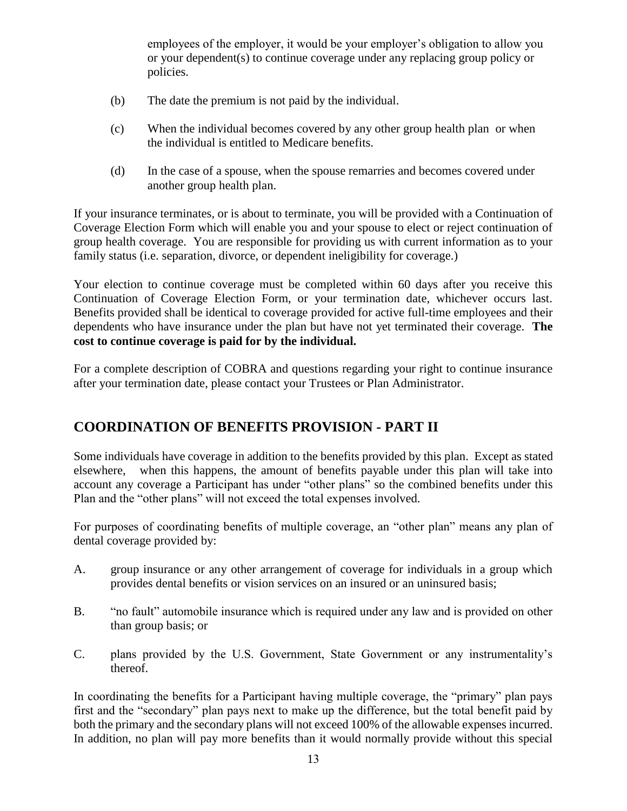employees of the employer, it would be your employer's obligation to allow you or your dependent(s) to continue coverage under any replacing group policy or policies.

- (b) The date the premium is not paid by the individual.
- (c) When the individual becomes covered by any other group health plan or when the individual is entitled to Medicare benefits.
- (d) In the case of a spouse, when the spouse remarries and becomes covered under another group health plan.

If your insurance terminates, or is about to terminate, you will be provided with a Continuation of Coverage Election Form which will enable you and your spouse to elect or reject continuation of group health coverage. You are responsible for providing us with current information as to your family status (i.e. separation, divorce, or dependent ineligibility for coverage.)

Your election to continue coverage must be completed within 60 days after you receive this Continuation of Coverage Election Form, or your termination date, whichever occurs last. Benefits provided shall be identical to coverage provided for active full-time employees and their dependents who have insurance under the plan but have not yet terminated their coverage. **The cost to continue coverage is paid for by the individual.**

For a complete description of COBRA and questions regarding your right to continue insurance after your termination date, please contact your Trustees or Plan Administrator.

## **COORDINATION OF BENEFITS PROVISION - PART II**

Some individuals have coverage in addition to the benefits provided by this plan. Except as stated elsewhere, when this happens, the amount of benefits payable under this plan will take into account any coverage a Participant has under "other plans" so the combined benefits under this Plan and the "other plans" will not exceed the total expenses involved.

For purposes of coordinating benefits of multiple coverage, an "other plan" means any plan of dental coverage provided by:

- A. group insurance or any other arrangement of coverage for individuals in a group which provides dental benefits or vision services on an insured or an uninsured basis;
- B. "no fault" automobile insurance which is required under any law and is provided on other than group basis; or
- C. plans provided by the U.S. Government, State Government or any instrumentality's thereof.

In coordinating the benefits for a Participant having multiple coverage, the "primary" plan pays first and the "secondary" plan pays next to make up the difference, but the total benefit paid by both the primary and the secondary plans will not exceed 100% of the allowable expenses incurred. In addition, no plan will pay more benefits than it would normally provide without this special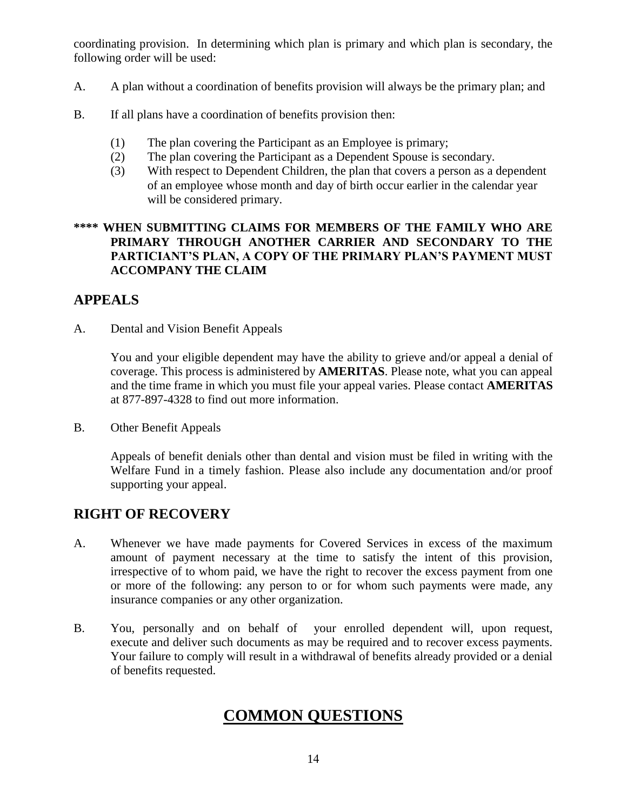coordinating provision. In determining which plan is primary and which plan is secondary, the following order will be used:

- A. A plan without a coordination of benefits provision will always be the primary plan; and
- B. If all plans have a coordination of benefits provision then:
	- (1) The plan covering the Participant as an Employee is primary;
	- (2) The plan covering the Participant as a Dependent Spouse is secondary.
	- (3) With respect to Dependent Children, the plan that covers a person as a dependent of an employee whose month and day of birth occur earlier in the calendar year will be considered primary.

#### **\*\*\*\* WHEN SUBMITTING CLAIMS FOR MEMBERS OF THE FAMILY WHO ARE PRIMARY THROUGH ANOTHER CARRIER AND SECONDARY TO THE PARTICIANT'S PLAN, A COPY OF THE PRIMARY PLAN'S PAYMENT MUST ACCOMPANY THE CLAIM**

## **APPEALS**

A. Dental and Vision Benefit Appeals

You and your eligible dependent may have the ability to grieve and/or appeal a denial of coverage. This process is administered by **AMERITAS**. Please note, what you can appeal and the time frame in which you must file your appeal varies. Please contact **AMERITAS** at 877-897-4328 to find out more information.

B. Other Benefit Appeals

Appeals of benefit denials other than dental and vision must be filed in writing with the Welfare Fund in a timely fashion. Please also include any documentation and/or proof supporting your appeal.

## **RIGHT OF RECOVERY**

- A. Whenever we have made payments for Covered Services in excess of the maximum amount of payment necessary at the time to satisfy the intent of this provision, irrespective of to whom paid, we have the right to recover the excess payment from one or more of the following: any person to or for whom such payments were made, any insurance companies or any other organization.
- B. You, personally and on behalf of your enrolled dependent will, upon request, execute and deliver such documents as may be required and to recover excess payments. Your failure to comply will result in a withdrawal of benefits already provided or a denial of benefits requested.

# **COMMON QUESTIONS**